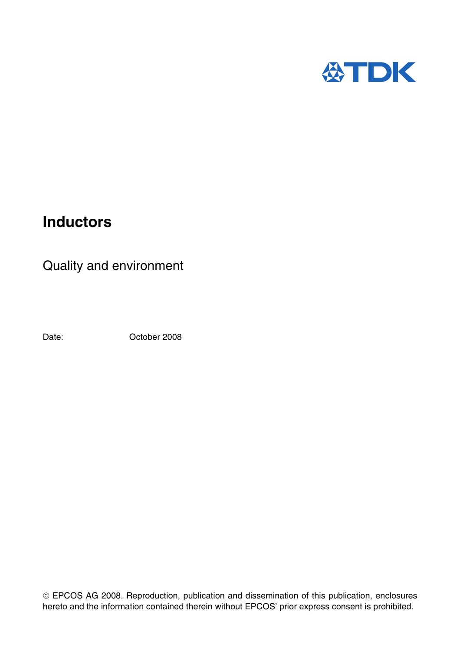

# **Inductors**

Quality and environment

Date: October 2008

 EPCOS AG 2008. Reproduction, publication and dissemination of this publication, enclosures hereto and the information contained therein without EPCOS' prior express consent is prohibited.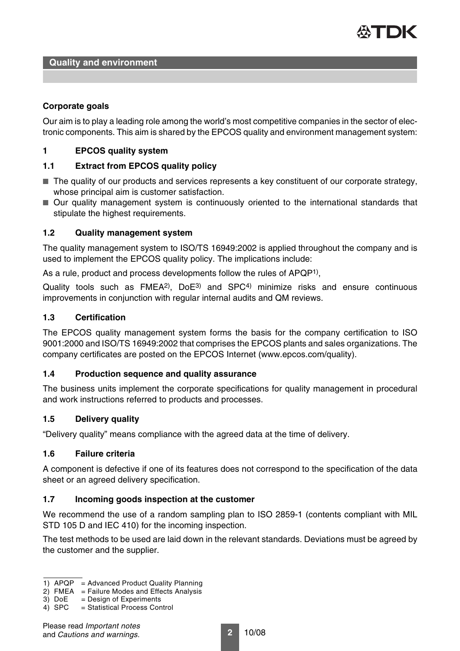

## **Corporate goals**

Our aim is to play a leading role among the world's most competitive companies in the sector of electronic components. This aim is shared by the EPCOS quality and environment management system:

## **1 EPCOS quality system**

# **1.1 Extract from EPCOS quality policy**

- The quality of our products and services represents a key constituent of our corporate strategy, whose principal aim is customer satisfaction.
- Our quality management system is continuously oriented to the international standards that stipulate the highest requirements.

## **1.2 Quality management system**

The quality management system to ISO/TS 16949:2002 is applied throughout the company and is used to implement the EPCOS quality policy. The implications include:

As a rule, product and process developments follow the rules of APQP1),

Quality tools such as FMEA2), DoE3) and SPC4) minimize risks and ensure continuous improvements in conjunction with regular internal audits and QM reviews.

## **1.3 Certification**

The EPCOS quality management system forms the basis for the company certification to ISO 9001:2000 and ISO/TS 16949:2002 that comprises the EPCOS plants and sales organizations. The company certificates are posted on the EPCOS Internet (www.epcos.com/quality).

#### **1.4 Production sequence and quality assurance**

The business units implement the corporate specifications for quality management in procedural and work instructions referred to products and processes.

## **1.5 Delivery quality**

"Delivery quality" means compliance with the agreed data at the time of delivery.

# **1.6 Failure criteria**

A component is defective if one of its features does not correspond to the specification of the data sheet or an agreed delivery specification.

# **1.7 Incoming goods inspection at the customer**

We recommend the use of a random sampling plan to ISO 2859-1 (contents compliant with MIL STD 105 D and IEC 410) for the incoming inspection.

The test methods to be used are laid down in the relevant standards. Deviations must be agreed by the customer and the supplier.

4) SPC = Statistical Process Control

<sup>1)</sup> APQP = Advanced Product Quality Planning

<sup>2)</sup> FMEA = Failure Modes and Effects Analysis

<sup>3)</sup>  $DoE$  = Design of Experiments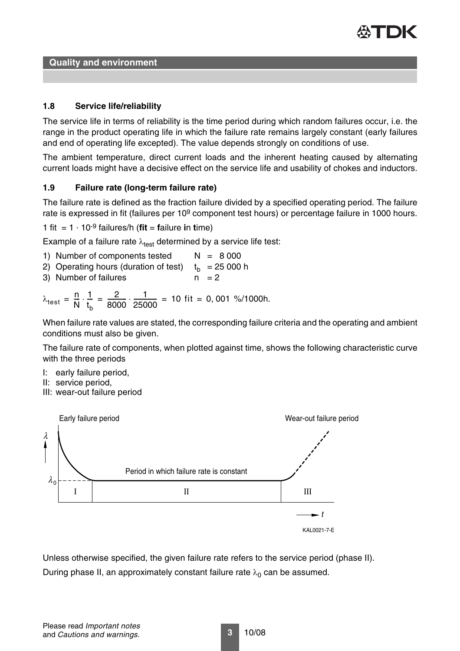

**Quality and environment**

## **1.8 Service life/reliability**

The service life in terms of reliability is the time period during which random failures occur, i.e. the range in the product operating life in which the failure rate remains largely constant (early failures and end of operating life excepted). The value depends strongly on conditions of use.

The ambient temperature, direct current loads and the inherent heating caused by alternating current loads might have a decisive effect on the service life and usability of chokes and inductors.

## **1.9 Failure rate (long-term failure rate)**

The failure rate is defined as the fraction failure divided by a specified operating period. The failure rate is expressed in fit (failures per 10<sup>9</sup> component test hours) or percentage failure in 1000 hours.

1 fit =  $1 \cdot 10^{-9}$  failures/h (**fit** = **f**ailure **i**n **t**ime)

Example of a failure rate  $\lambda_{\text{test}}$  determined by a service life test:

- 1) Number of components tested  $N = 8000$
- 2) Operating hours (duration of test)  $t_h$  = 25 000 h
- 3) Number of failures  $n = 2$

$$
\lambda_{\text{test}} = \frac{n}{N} \cdot \frac{1}{t_b} = \frac{2}{8000} \cdot \frac{1}{25000} = 10 \text{ fit} = 0,001 \text{ %}/1000h.
$$

When failure rate values are stated, the corresponding failure criteria and the operating and ambient conditions must also be given.

The failure rate of components, when plotted against time, shows the following characteristic curve with the three periods

- I: early failure period,
- II: service period,
- III: wear-out failure period



Unless otherwise specified, the given failure rate refers to the service period (phase II). During phase II, an approximately constant failure rate  $\lambda_0$  can be assumed.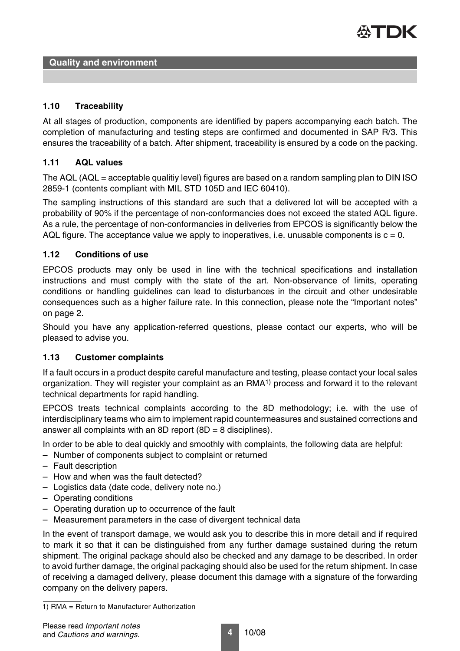

## **1.10 Traceability**

At all stages of production, components are identified by papers accompanying each batch. The completion of manufacturing and testing steps are confirmed and documented in SAP R/3. This ensures the traceability of a batch. After shipment, traceability is ensured by a code on the packing.

## **1.11 AQL values**

The AQL (AQL = acceptable qualitiy level) figures are based on a random sampling plan to DIN ISO 2859-1 (contents compliant with MIL STD 105D and IEC 60410).

The sampling instructions of this standard are such that a delivered lot will be accepted with a probability of 90% if the percentage of non-conformancies does not exceed the stated AQL figure. As a rule, the percentage of non-conformancies in deliveries from EPCOS is significantly below the AQL figure. The acceptance value we apply to inoperatives, i.e. unusable components is  $c = 0$ .

## **1.12 Conditions of use**

EPCOS products may only be used in line with the technical specifications and installation instructions and must comply with the state of the art. Non-observance of limits, operating conditions or handling guidelines can lead to disturbances in the circuit and other undesirable consequences such as a higher failure rate. In this connection, please note the "Important notes" on page 2.

Should you have any application-referred questions, please contact our experts, who will be pleased to advise you.

#### **1.13 Customer complaints**

If a fault occurs in a product despite careful manufacture and testing, please contact your local sales organization. They will register your complaint as an RMA1) process and forward it to the relevant technical departments for rapid handling.

EPCOS treats technical complaints according to the 8D methodology; i.e. with the use of interdisciplinary teams who aim to implement rapid countermeasures and sustained corrections and answer all complaints with an 8D report  $(8D = 8$  disciplines).

In order to be able to deal quickly and smoothly with complaints, the following data are helpful:

- Number of components subject to complaint or returned
- Fault description
- How and when was the fault detected?
- Logistics data (date code, delivery note no.)
- Operating conditions
- Operating duration up to occurrence of the fault
- Measurement parameters in the case of divergent technical data

In the event of transport damage, we would ask you to describe this in more detail and if required to mark it so that it can be distinguished from any further damage sustained during the return shipment. The original package should also be checked and any damage to be described. In order to avoid further damage, the original packaging should also be used for the return shipment. In case of receiving a damaged delivery, please document this damage with a signature of the forwarding company on the delivery papers.

<sup>1)</sup> RMA = Return to Manufacturer Authorization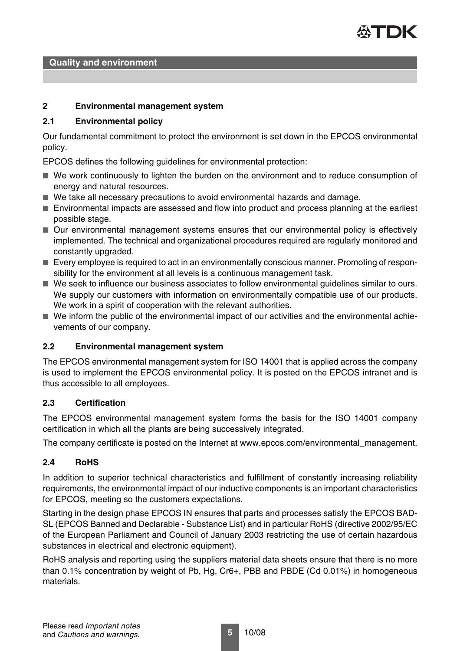

**Quality and environment**

## **2 Environmental management system**

## **2.1 Environmental policy**

Our fundamental commitment to protect the environment is set down in the EPCOS environmental policy.

EPCOS defines the following guidelines for environmental protection:

- We work continuously to lighten the burden on the environment and to reduce consumption of energy and natural resources.
- We take all necessary precautions to avoid environmental hazards and damage.
- Environmental impacts are assessed and flow into product and process planning at the earliest possible stage.
- Our environmental management systems ensures that our environmental policy is effectively implemented. The technical and organizational procedures required are regularly monitored and constantly upgraded.
- Every employee is required to act in an environmentally conscious manner. Promoting of responsibility for the environment at all levels is a continuous management task.
- We seek to influence our business associates to follow environmental guidelines similar to ours. We supply our customers with information on environmentally compatible use of our products. We work in a spirit of cooperation with the relevant authorities.
- We inform the public of the environmental impact of our activities and the environmental achievements of our company.

#### **2.2 Environmental management system**

The EPCOS environmental management system for ISO 14001 that is applied across the company is used to implement the EPCOS environmental policy. It is posted on the EPCOS intranet and is thus accessible to all employees.

#### **2.3 Certification**

The EPCOS environmental management system forms the basis for the ISO 14001 company certification in which all the plants are being successively integrated.

The company certificate is posted on the Internet at www.epcos.com/environmental\_management.

#### **2.4 RoHS**

In addition to superior technical characteristics and fulfillment of constantly increasing reliability requirements, the environmental impact of our inductive components is an important characteristics for EPCOS, meeting so the customers expectations.

Starting in the design phase EPCOS IN ensures that parts and processes satisfy the EPCOS BAD-SL (EPCOS Banned and Declarable - Substance List) and in particular RoHS (directive 2002/95/EC of the European Parliament and Council of January 2003 restricting the use of certain hazardous substances in electrical and electronic equipment).

RoHS analysis and reporting using the suppliers material data sheets ensure that there is no more than 0.1% concentration by weight of Pb, Hg, Cr6+, PBB and PBDE (Cd 0.01%) in homogeneous materials.